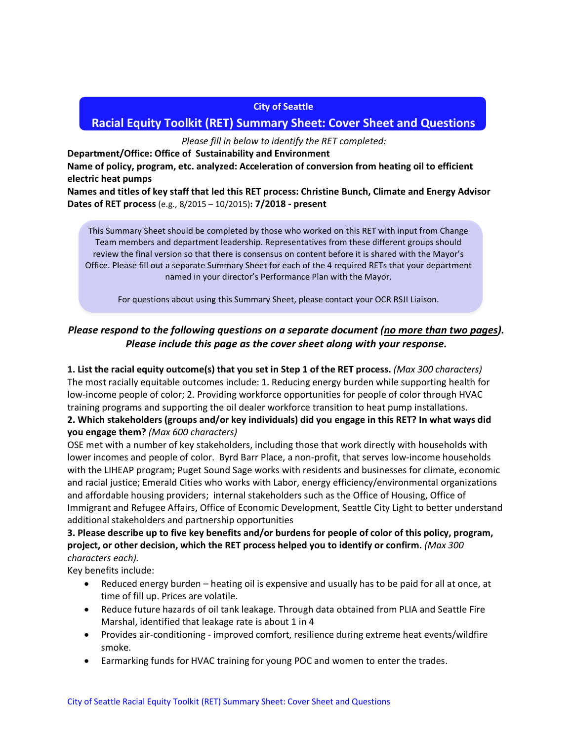#### **City of Seattle**

# **Racial Equity Toolkit (RET) Summary Sheet: Cover Sheet and Questions**

*Please fill in below to identify the RET completed:*

**Department/Office: Office of Sustainability and Environment**

**Name of policy, program, etc. analyzed: Acceleration of conversion from heating oil to efficient electric heat pumps**

**Names and titles of key staff that led this RET process: Christine Bunch, Climate and Energy Advisor Dates of RET process** (e.g., 8/2015 – 10/2015)**: 7/2018 - present**

This Summary Sheet should be completed by those who worked on this RET with input from Change Team members and department leadership. Representatives from these different groups should review the final version so that there is consensus on content before it is shared with the Mayor's Office. Please fill out a separate Summary Sheet for each of the 4 required RETs that your department named in your director's Performance Plan with the Mayor.

For questions about using this Summary Sheet, please contact your OCR RSJI Liaison.

# *Please respond to the following questions on a separate document (no more than two pages). Please include this page as the cover sheet along with your response.*

# **1. List the racial equity outcome(s) that you set in Step 1 of the RET process.** *(Max 300 characters)* The most racially equitable outcomes include: 1. Reducing energy burden while supporting health for low-income people of color; 2. Providing workforce opportunities for people of color through HVAC

#### training programs and supporting the oil dealer workforce transition to heat pump installations. **2. Which stakeholders (groups and/or key individuals) did you engage in this RET? In what ways did you engage them?** *(Max 600 characters)*

OSE met with a number of key stakeholders, including those that work directly with households with lower incomes and people of color. Byrd Barr Place, a non-profit, that serves low-income households with the LIHEAP program; Puget Sound Sage works with residents and businesses for climate, economic and racial justice; Emerald Cities who works with Labor, energy efficiency/environmental organizations and affordable housing providers; internal stakeholders such as the Office of Housing, Office of Immigrant and Refugee Affairs, Office of Economic Development, Seattle City Light to better understand additional stakeholders and partnership opportunities

## **3. Please describe up to five key benefits and/or burdens for people of color of this policy, program, project, or other decision, which the RET process helped you to identify or confirm.** *(Max 300 characters each).*

Key benefits include:

- Reduced energy burden heating oil is expensive and usually has to be paid for all at once, at time of fill up. Prices are volatile.
- Reduce future hazards of oil tank leakage. Through data obtained from PLIA and Seattle Fire Marshal, identified that leakage rate is about 1 in 4
- Provides air-conditioning improved comfort, resilience during extreme heat events/wildfire smoke.
- Earmarking funds for HVAC training for young POC and women to enter the trades.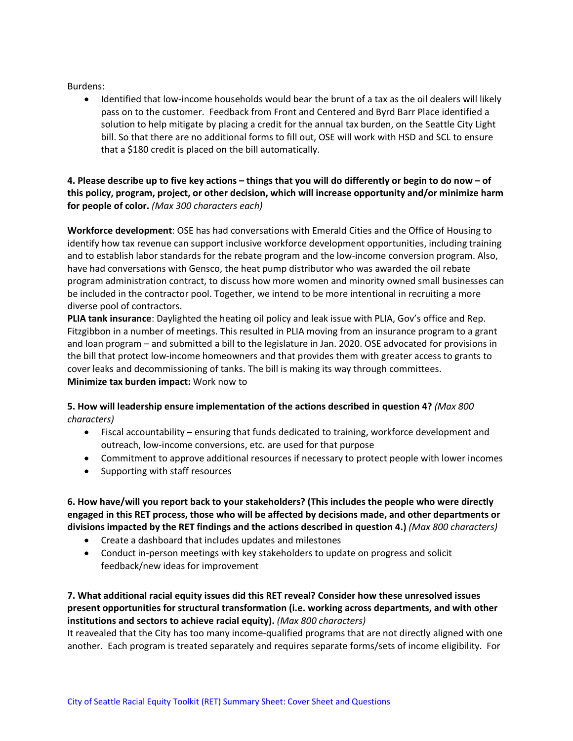Burdens:

• Identified that low-income households would bear the brunt of a tax as the oil dealers will likely pass on to the customer. Feedback from Front and Centered and Byrd Barr Place identified a solution to help mitigate by placing a credit for the annual tax burden, on the Seattle City Light bill. So that there are no additional forms to fill out, OSE will work with HSD and SCL to ensure that a \$180 credit is placed on the bill automatically.

## **4. Please describe up to five key actions – things that you will do differently or begin to do now – of this policy, program, project, or other decision, which will increase opportunity and/or minimize harm for people of color.** *(Max 300 characters each)*

**Workforce development**: OSE has had conversations with Emerald Cities and the Office of Housing to identify how tax revenue can support inclusive workforce development opportunities, including training and to establish labor standards for the rebate program and the low-income conversion program. Also, have had conversations with Gensco, the heat pump distributor who was awarded the oil rebate program administration contract, to discuss how more women and minority owned small businesses can be included in the contractor pool. Together, we intend to be more intentional in recruiting a more diverse pool of contractors.

**PLIA tank insurance**: Daylighted the heating oil policy and leak issue with PLIA, Gov's office and Rep. Fitzgibbon in a number of meetings. This resulted in PLIA moving from an insurance program to a grant and loan program – and submitted a bill to the legislature in Jan. 2020. OSE advocated for provisions in the bill that protect low-income homeowners and that provides them with greater access to grants to cover leaks and decommissioning of tanks. The bill is making its way through committees. **Minimize tax burden impact:** Work now to

## **5. How will leadership ensure implementation of the actions described in question 4?** *(Max 800 characters)*

- Fiscal accountability ensuring that funds dedicated to training, workforce development and outreach, low-income conversions, etc. are used for that purpose
- Commitment to approve additional resources if necessary to protect people with lower incomes
- Supporting with staff resources

**6. How have/will you report back to your stakeholders? (This includes the people who were directly engaged in this RET process, those who will be affected by decisions made, and other departments or divisions impacted by the RET findings and the actions described in question 4.)** *(Max 800 characters)*

- Create a dashboard that includes updates and milestones
- Conduct in-person meetings with key stakeholders to update on progress and solicit feedback/new ideas for improvement

**7. What additional racial equity issues did this RET reveal? Consider how these unresolved issues present opportunities for structural transformation (i.e. working across departments, and with other institutions and sectors to achieve racial equity).** *(Max 800 characters)*

It reavealed that the City has too many income-qualified programs that are not directly aligned with one another. Each program is treated separately and requires separate forms/sets of income eligibility. For